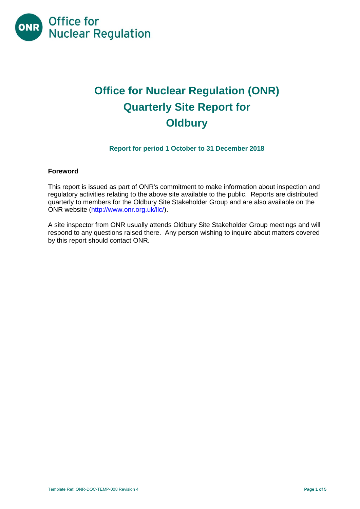

# **Office for Nuclear Regulation (ONR) Quarterly Site Report for Oldbury**

# **Report for period 1 October to 31 December 2018**

#### **Foreword**

This report is issued as part of ONR's commitment to make information about inspection and regulatory activities relating to the above site available to the public. Reports are distributed quarterly to members for the Oldbury Site Stakeholder Group and are also available on the ONR website [\(http://www.onr.org.uk/llc/\)](http://www.onr.org.uk/llc/).

A site inspector from ONR usually attends Oldbury Site Stakeholder Group meetings and will respond to any questions raised there. Any person wishing to inquire about matters covered by this report should contact ONR.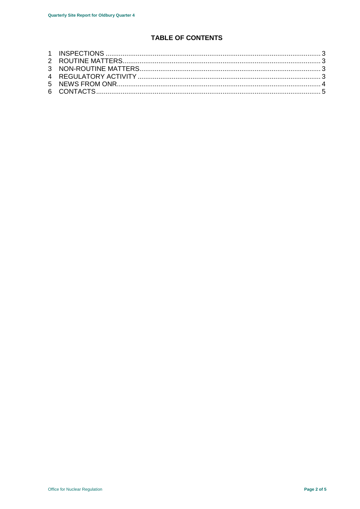# **TABLE OF CONTENTS**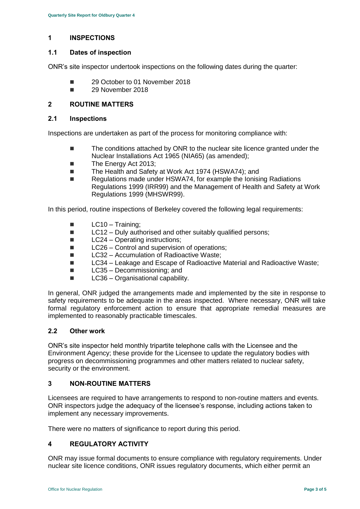# <span id="page-2-0"></span>**1 INSPECTIONS**

## **1.1 Dates of inspection**

ONR's site inspector undertook inspections on the following dates during the quarter:

- 29 October to 01 November 2018
- 29 November 2018

# <span id="page-2-1"></span>**2 ROUTINE MATTERS**

## **2.1 Inspections**

Inspections are undertaken as part of the process for monitoring compliance with:

- The conditions attached by ONR to the nuclear site licence granted under the Nuclear Installations Act 1965 (NIA65) (as amended);
- The Energy Act 2013;
- The Health and Safety at Work Act 1974 (HSWA74); and
- Regulations made under HSWA74, for example the Ionising Radiations Regulations 1999 (IRR99) and the Management of Health and Safety at Work Regulations 1999 (MHSWR99).

In this period, routine inspections of Berkeley covered the following legal requirements:

- $\blacksquare$  LC10 Training;
- $\blacksquare$  LC12 Duly authorised and other suitably qualified persons;
- LC24 Operating instructions:
- LC26 Control and supervision of operations;
- LC32 Accumulation of Radioactive Waste:
- LC34 Leakage and Escape of Radioactive Material and Radioactive Waste:
- LC35 Decommissioning; and
- LC36 Organisational capability.

In general, ONR judged the arrangements made and implemented by the site in response to safety requirements to be adequate in the areas inspected. Where necessary, ONR will take formal regulatory enforcement action to ensure that appropriate remedial measures are implemented to reasonably practicable timescales.

#### **2.2 Other work**

ONR's site inspector held monthly tripartite telephone calls with the Licensee and the Environment Agency; these provide for the Licensee to update the regulatory bodies with progress on decommissioning programmes and other matters related to nuclear safety, security or the environment.

# <span id="page-2-2"></span>**3 NON-ROUTINE MATTERS**

Licensees are required to have arrangements to respond to non-routine matters and events. ONR inspectors judge the adequacy of the licensee's response, including actions taken to implement any necessary improvements.

There were no matters of significance to report during this period.

# <span id="page-2-3"></span>**4 REGULATORY ACTIVITY**

ONR may issue formal documents to ensure compliance with regulatory requirements. Under nuclear site licence conditions, ONR issues regulatory documents, which either permit an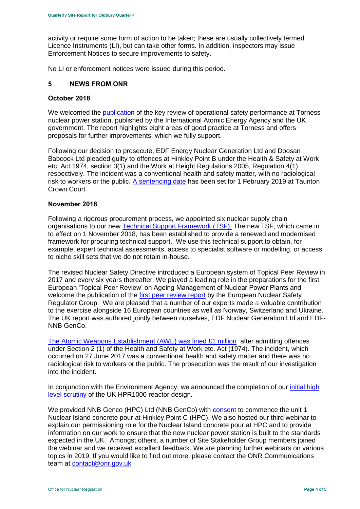activity or require some form of action to be taken; these are usually collectively termed Licence Instruments (LI), but can take other forms. In addition, inspectors may issue Enforcement Notices to secure improvements to safety.

No LI or enforcement notices were issued during this period.

#### <span id="page-3-0"></span>**5 NEWS FROM ONR**

#### **October 2018**

We welcomed the [publication](http://news.onr.org.uk/2018/10/iaea-review-torness-power-station/) of the key review of operational safety performance at Torness nuclear power station, published by the International Atomic Energy Agency and the UK government. The report highlights eight areas of good practice at Torness and offers proposals for further improvements, which we fully support.

Following our decision to prosecute, EDF Energy Nuclear Generation Ltd and Doosan Babcock Ltd pleaded guilty to offences at Hinkley Point B under the Health & Safety at Work etc. Act 1974, section 3(1) and the Work at Height Regulations 2005, Regulation 4(1) respectively. The incident was a conventional health and safety matter, with no radiological risk to workers or the public. [A sentencing date](http://news.onr.org.uk/2018/10/edf-and-doosan-babcock-plead-guilty/) has been set for 1 February 2019 at Taunton Crown Court.

#### **November 2018**

Following a rigorous procurement process, we appointed six nuclear supply chain organisations to our new [Technical Support Framework \(TSF\).](http://news.onr.org.uk/2018/11/new-technical-support-framework-announced/) The new TSF, which came in to effect on 1 November 2018, has been established to provide a renewed and modernised framework for procuring technical support. We use this technical support to obtain, for example, expert technical assessments, access to specialist software or modelling, or access to niche skill sets that we do not retain in-house.

The revised Nuclear Safety Directive introduced a European system of Topical Peer Review in 2017 and every six years thereafter. We played a leading role in the preparations for the first European 'Topical Peer Review' on Ageing Management of Nuclear Power Plants and welcome the publication of the [first peer review report](http://news.onr.org.uk/2018/11/onr-welcomes-first-topical-peer-review/) by the European Nuclear Safety Regulator Group. We are pleased that a number of our experts made a valuable contribution to the exercise alongside 16 European countries as well as Norway, Switzerland and Ukraine. The UK report was authored jointly between ourselves, EDF Nuclear Generation Ltd and EDF-NNB GenCo.

[The Atomic Weapons Establishment \(AWE\) was fined £1 million](http://news.onr.org.uk/2018/11/awe-prosecution-reaction/) after admitting offences under Section 2 (1) of the Health and Safety at Work etc. Act (1974). The incident, which occurred on 27 June 2017 was a conventional health and safety matter and there was no radiological risk to workers or the public. The prosecution was the result of our investigation into the incident.

In conjunction with the Environment Agency, we announced the completion of our [initial high](http://news.onr.org.uk/2018/11/uk-hpr1000-completes-gda-step-2/)  [level scrutiny](http://news.onr.org.uk/2018/11/uk-hpr1000-completes-gda-step-2/) of the UK HPR1000 reactor design.

We provided NNB Genco (HPC) Ltd (NNB GenCo) with [consent](http://news.onr.org.uk/2018/11/consent-for-hinkley-point-c-nuclear-island-concrete-pour/) to commence the unit 1 Nuclear Island concrete pour at Hinkley Point C (HPC). We also hosted our third webinar to explain our permissioning role for the Nuclear Island concrete pour at HPC and to provide information on our work to ensure that the new nuclear power station is built to the standards expected in the UK. Amongst others, a number of Site Stakeholder Group members joined the webinar and we received excellent feedback. We are planning further webinars on various topics in 2019. If you would like to find out more, please contact the ONR Communications team at [contact@onr.gov.uk](mailto:contact@onr.gov.uk)